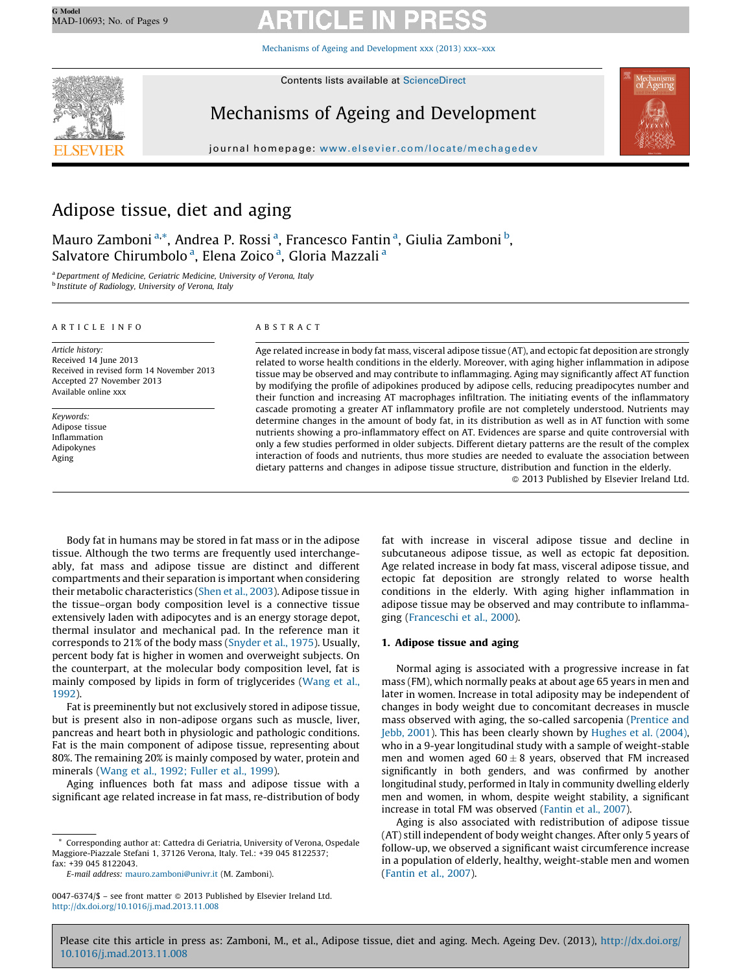Mechanisms of Ageing and [Development](http://dx.doi.org/10.1016/j.mad.2013.11.008) xxx (2013) xxx–xxx



Contents lists available at [ScienceDirect](http://www.sciencedirect.com/science/journal/00476374)

# Mechanisms of Ageing and Development



journal homepage: www.elsevier.com/locate/mechagedev

## Adipose tissue, diet and aging

Mauro Zamboni <sup>a,</sup>\*, Andrea P. Rossi <sup>a</sup>, Francesco Fantin <sup>a</sup>, Giulia Zamboni <sup>b</sup>, Salvatore Chirumbolo<sup>a</sup>, Elena Zoico<sup>a</sup>, Gloria Mazzali<sup>a</sup>

<sup>a</sup>Department of Medicine, Geriatric Medicine, University of Verona, Italy <sup>b</sup> Institute of Radiology, University of Verona, Italy

#### A R T I C L E I N F O

Article history: Received 14 June 2013 Received in revised form 14 November 2013 Accepted 27 November 2013 Available online xxx

Keywords: Adipose tissue Inflammation Adipokynes Aging

### A B S T R A C T

Age related increase in body fat mass, visceral adipose tissue (AT), and ectopic fat deposition are strongly related to worse health conditions in the elderly. Moreover, with aging higher inflammation in adipose tissue may be observed and may contribute to inflammaging. Aging may significantly affect AT function by modifying the profile of adipokines produced by adipose cells, reducing preadipocytes number and their function and increasing AT macrophages infiltration. The initiating events of the inflammatory cascade promoting a greater AT inflammatory profile are not completely understood. Nutrients may determine changes in the amount of body fat, in its distribution as well as in AT function with some nutrients showing a pro-inflammatory effect on AT. Evidences are sparse and quite controversial with only a few studies performed in older subjects. Different dietary patterns are the result of the complex interaction of foods and nutrients, thus more studies are needed to evaluate the association between dietary patterns and changes in adipose tissue structure, distribution and function in the elderly.

- 2013 Published by Elsevier Ireland Ltd.

Body fat in humans may be stored in fat mass or in the adipose tissue. Although the two terms are frequently used interchangeably, fat mass and adipose tissue are distinct and different compartments and their separation is important when considering their metabolic characteristics (Shen et al., [2003](#page--1-0)). Adipose tissue in the tissue–organ body composition level is a connective tissue extensively laden with adipocytes and is an energy storage depot, thermal insulator and mechanical pad. In the reference man it corresponds to 21% of the body mass ([Snyder](#page--1-0) et al., 1975). Usually, percent body fat is higher in women and overweight subjects. On the counterpart, at the molecular body composition level, fat is mainly composed by lipids in form of triglycerides ([Wang](#page--1-0) et al., [1992\)](#page--1-0).

Fat is preeminently but not exclusively stored in adipose tissue, but is present also in non-adipose organs such as muscle, liver, pancreas and heart both in physiologic and pathologic conditions. Fat is the main component of adipose tissue, representing about 80%. The remaining 20% is mainly composed by water, protein and minerals (Wang et al., [1992;](#page--1-0) Fuller et al., 1999).

Aging influences both fat mass and adipose tissue with a significant age related increase in fat mass, re-distribution of body fat with increase in visceral adipose tissue and decline in subcutaneous adipose tissue, as well as ectopic fat deposition. Age related increase in body fat mass, visceral adipose tissue, and ectopic fat deposition are strongly related to worse health conditions in the elderly. With aging higher inflammation in adipose tissue may be observed and may contribute to inflammaging ([Franceschi](#page--1-0) et al., 2000).

## 1. Adipose tissue and aging

Normal aging is associated with a progressive increase in fat mass (FM), which normally peaks at about age 65 years in men and later in women. Increase in total adiposity may be independent of changes in body weight due to concomitant decreases in muscle mass observed with aging, the so-called sarcopenia ([Prentice](#page--1-0) and Jebb, [2001\)](#page--1-0). This has been clearly shown by [Hughes](#page--1-0) et al. (2004), who in a 9-year longitudinal study with a sample of weight-stable men and women aged  $60 \pm 8$  years, observed that FM increased significantly in both genders, and was confirmed by another longitudinal study, performed in Italy in community dwelling elderly men and women, in whom, despite weight stability, a significant increase in total FM was observed [\(Fantin](#page--1-0) et al., 2007).

Aging is also associated with redistribution of adipose tissue (AT) still independent of body weight changes. After only 5 years of follow-up, we observed a significant waist circumference increase in a population of elderly, healthy, weight-stable men and women ([Fantin](#page--1-0) et al., 2007).

Corresponding author at: Cattedra di Geriatria, University of Verona, Ospedale Maggiore-Piazzale Stefani 1, 37126 Verona, Italy. Tel.: +39 045 8122537; fax: +39 045 8122043.

E-mail address: [mauro.zamboni@univr.it](mailto:mauro.zamboni@univr.it) (M. Zamboni).

<sup>0047-6374/\$ –</sup> see front matter © 2013 Published by Elsevier Ireland Ltd. <http://dx.doi.org/10.1016/j.mad.2013.11.008>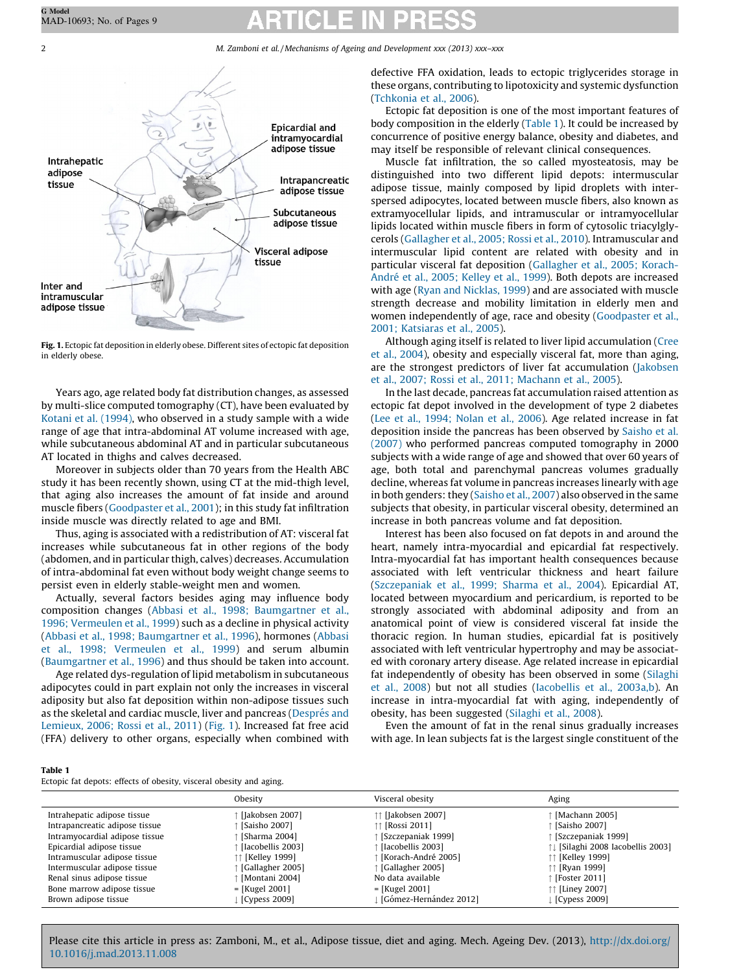2 M. Zamboni et al. / Mechanisms of Ageing and Development xxx (2013) xxx-xxx



Fig. 1. Ectopic fat deposition in elderly obese. Different sites of ectopic fat deposition in elderly obese.

Years ago, age related body fat distribution changes, as assessed by multi-slice computed tomography (CT), have been evaluated by Kotani et al. [\(1994\),](#page--1-0) who observed in a study sample with a wide range of age that intra-abdominal AT volume increased with age, while subcutaneous abdominal AT and in particular subcutaneous AT located in thighs and calves decreased.

Moreover in subjects older than 70 years from the Health ABC study it has been recently shown, using CT at the mid-thigh level, that aging also increases the amount of fat inside and around muscle fibers ([Goodpaster](#page--1-0) et al., 2001); in this study fat infiltration inside muscle was directly related to age and BMI.

Thus, aging is associated with a redistribution of AT: visceral fat increases while subcutaneous fat in other regions of the body (abdomen, and in particular thigh, calves) decreases. Accumulation of intra-abdominal fat even without body weight change seems to persist even in elderly stable-weight men and women.

Actually, several factors besides aging may influence body composition changes (Abbasi et al., 1998; [Baumgartner](#page--1-0) et al., 1996; [Vermeulen](#page--1-0) et al., 1999) such as a decline in physical activity (Abbasi et al., 1998; [Baumgartner](#page--1-0) et al., 1996), hormones [\(Abbasi](#page--1-0) et al., 1998; [Vermeulen](#page--1-0) et al., 1999) and serum albumin ([Baumgartner](#page--1-0) et al., 1996) and thus should be taken into account.

Age related dys-regulation of lipid metabolism in subcutaneous adipocytes could in part explain not only the increases in visceral adiposity but also fat deposition within non-adipose tissues such as the skeletal and cardiac muscle, liver and pancreas (Després and [Lemieux,](#page--1-0) 2006; Rossi et al., 2011) (Fig. 1). Increased fat free acid (FFA) delivery to other organs, especially when combined with defective FFA oxidation, leads to ectopic triglycerides storage in these organs, contributing to lipotoxicity and systemic dysfunction ([Tchkonia](#page--1-0) et al., 2006).

Ectopic fat deposition is one of the most important features of body composition in the elderly (Table 1). It could be increased by concurrence of positive energy balance, obesity and diabetes, and may itself be responsible of relevant clinical consequences.

Muscle fat infiltration, the so called myosteatosis, may be distinguished into two different lipid depots: intermuscular adipose tissue, mainly composed by lipid droplets with interspersed adipocytes, located between muscle fibers, also known as extramyocellular lipids, and intramuscular or intramyocellular lipids located within muscle fibers in form of cytosolic triacylglycerols [\(Gallagher](#page--1-0) et al., 2005; Rossi et al., 2010). Intramuscular and intermuscular lipid content are related with obesity and in particular visceral fat deposition ([Gallagher](#page--1-0) et al., 2005; Korach-André et al., 2005; [Kelley](#page--1-0) et al., 1999). Both depots are increased with age (Ryan and [Nicklas,](#page--1-0) 1999) and are associated with muscle strength decrease and mobility limitation in elderly men and women independently of age, race and obesity [\(Goodpaster](#page--1-0) et al., 2001; [Katsiaras](#page--1-0) et al., 2005).

Although aging itself is related to liver lipid accumulation ([Cree](#page--1-0) et al., [2004\)](#page--1-0), obesity and especially visceral fat, more than aging, are the strongest predictors of liver fat accumulation ([Jakobsen](#page--1-0) et al., 2007; Rossi et al., 2011; [Machann](#page--1-0) et al., 2005).

In the last decade, pancreas fat accumulation raised attention as ectopic fat depot involved in the development of type 2 diabetes (Lee et al., 1994; [Nolan](#page--1-0) et al., 2006). Age related increase in fat deposition inside the pancreas has been observed by [Saisho](#page--1-0) et al. [\(2007\)](#page--1-0) who performed pancreas computed tomography in 2000 subjects with a wide range of age and showed that over 60 years of age, both total and parenchymal pancreas volumes gradually decline, whereas fat volume in pancreas increases linearly with age in both genders: they [\(Saisho](#page--1-0) et al., 2007) also observed in the same subjects that obesity, in particular visceral obesity, determined an increase in both pancreas volume and fat deposition.

Interest has been also focused on fat depots in and around the heart, namely intra-myocardial and epicardial fat respectively. Intra-myocardial fat has important health consequences because associated with left ventricular thickness and heart failure ([Szczepaniak](#page--1-0) et al., 1999; Sharma et al., 2004). Epicardial AT, located between myocardium and pericardium, is reported to be strongly associated with abdominal adiposity and from an anatomical point of view is considered visceral fat inside the thoracic region. In human studies, epicardial fat is positively associated with left ventricular hypertrophy and may be associated with coronary artery disease. Age related increase in epicardial fat independently of obesity has been observed in some [\(Silaghi](#page--1-0) et al., [2008](#page--1-0)) but not all studies [\(Iacobellis](#page--1-0) et al., 2003a,b). An increase in intra-myocardial fat with aging, independently of obesity, has been suggested ([Silaghi](#page--1-0) et al., 2008).

Even the amount of fat in the renal sinus gradually increases with age. In lean subjects fat is the largest single constituent of the

#### Table 1

Ectopic fat depots: effects of obesity, visceral obesity and aging.

|                                | Obesity           | Visceral obesity       | Aging                             |
|--------------------------------|-------------------|------------------------|-----------------------------------|
| Intrahepatic adipose tissue    | [Jakobsen 2007]   | ↑↑ [Jakobsen 2007]     | Machann 2005]                     |
| Intrapancreatic adipose tissue | [Saisho 2007]     | ↑↑ [Rossi 2011]        | [Saisho 2007]                     |
| Intramyocardial adipose tissue | [Sharma 2004]     | [Szczepaniak 1999]     | [Szczepaniak 1999]                |
| Epicardial adipose tissue      | [Iacobellis 2003] | [Iacobellis 2003]      | 11 [Silaghi 2008 Iacobellis 2003] |
| Intramuscular adipose tissue   | ↑↑ [Kelley 1999]  | [Korach-André 2005]    | ↑↑ [Kelley 1999]                  |
| Intermuscular adipose tissue   | Gallagher 2005]   | [Gallagher 2005]       | ↑↑ [Ryan 1999]                    |
| Renal sinus adipose tissue     | [Montani 2004]    | No data available      | Foster 2011]                      |
| Bone marrow adipose tissue     | $=$ [Kugel 2001]  | $=$ [Kugel 2001]       | ↑↑ [Liney 2007]                   |
| Brown adipose tissue           | [Cypess $2009$ ]  | [Gómez-Hernández 2012] | [ [Cypess 2009]                   |

Please cite this article in press as: Zamboni, M., et al., Adipose tissue, diet and aging. Mech. Ageing Dev. (2013), [http://dx.doi.org/](http://dx.doi.org/10.1016/j.mad.2013.11.008) [10.1016/j.mad.2013.11.008](http://dx.doi.org/10.1016/j.mad.2013.11.008)